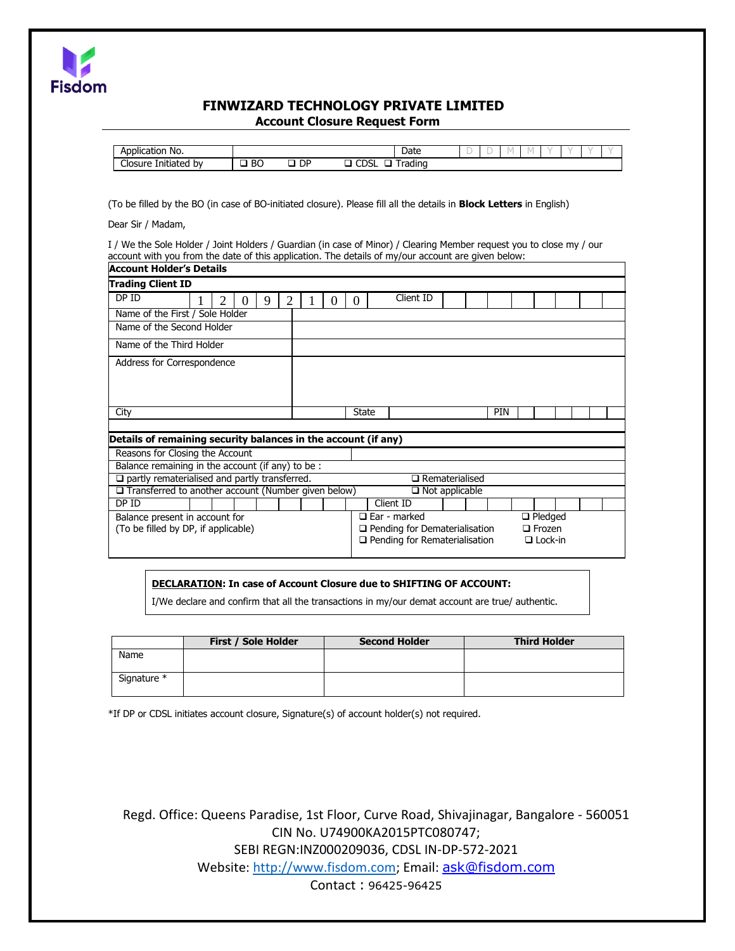

# **FINWIZARD TECHNOLOGY PRIVATE LIMITED Account Closure Request Form**

| $\sim$ $\sim$<br>Application<br>No.   |            |           | Date                      | $\sim$ | ۰. |  |  |  |
|---------------------------------------|------------|-----------|---------------------------|--------|----|--|--|--|
| ~'<br>.<br>Initiated<br>Closure<br>b٧ | DC.<br>DU. | <b>DP</b> | CDC<br>rading<br>∟ ב<br>ີ |        |    |  |  |  |

(To be filled by the BO (in case of BO-initiated closure). Please fill all the details in **Block Letters** in English)

Dear Sir / Madam,

I / We the Sole Holder / Joint Holders / Guardian (in case of Minor) / Clearing Member request you to close my / our account with you from the date of this application. The details of my/our account are given below:

| <b>Account Holder's Details</b>                                |                                                        |                                      |                       |  |            |               |  |  |  |  |  |
|----------------------------------------------------------------|--------------------------------------------------------|--------------------------------------|-----------------------|--|------------|---------------|--|--|--|--|--|
| <b>Trading Client ID</b>                                       |                                                        |                                      |                       |  |            |               |  |  |  |  |  |
| DP ID<br>2<br>2<br>9                                           |                                                        | 0                                    | Client ID             |  |            |               |  |  |  |  |  |
| Name of the First / Sole Holder                                |                                                        |                                      |                       |  |            |               |  |  |  |  |  |
| Name of the Second Holder                                      |                                                        |                                      |                       |  |            |               |  |  |  |  |  |
| Name of the Third Holder                                       |                                                        |                                      |                       |  |            |               |  |  |  |  |  |
| Address for Correspondence                                     |                                                        |                                      |                       |  |            |               |  |  |  |  |  |
|                                                                |                                                        |                                      |                       |  |            |               |  |  |  |  |  |
|                                                                |                                                        |                                      |                       |  |            |               |  |  |  |  |  |
| City                                                           |                                                        | <b>State</b>                         |                       |  | <b>PIN</b> |               |  |  |  |  |  |
|                                                                |                                                        |                                      |                       |  |            |               |  |  |  |  |  |
| Details of remaining security balances in the account (if any) |                                                        |                                      |                       |  |            |               |  |  |  |  |  |
| Reasons for Closing the Account                                |                                                        |                                      |                       |  |            |               |  |  |  |  |  |
| Balance remaining in the account (if any) to be :              |                                                        |                                      |                       |  |            |               |  |  |  |  |  |
| $\square$ partly rematerialised and partly transferred.        | $\Box$ Rematerialised                                  |                                      |                       |  |            |               |  |  |  |  |  |
| $\Box$ Transferred to another account (Number given below)     |                                                        |                                      | $\Box$ Not applicable |  |            |               |  |  |  |  |  |
| DP ID                                                          |                                                        |                                      | Client ID             |  |            |               |  |  |  |  |  |
| Balance present in account for                                 |                                                        | $\Box$ Ear - marked                  | $\Box$ Pledged        |  |            |               |  |  |  |  |  |
| (To be filled by DP, if applicable)                            |                                                        | $\Box$ Pending for Dematerialisation |                       |  |            | $\Box$ Frozen |  |  |  |  |  |
|                                                                | $\Box$ Pending for Rematerialisation<br>$\Box$ Lock-in |                                      |                       |  |            |               |  |  |  |  |  |

### **DECLARATION: In case of Account Closure due to SHIFTING OF ACCOUNT:**

I/We declare and confirm that all the transactions in my/our demat account are true/ authentic.

|             | <b>First / Sole Holder</b> | <b>Second Holder</b> | <b>Third Holder</b> |
|-------------|----------------------------|----------------------|---------------------|
| Name        |                            |                      |                     |
| Signature * |                            |                      |                     |

\*If DP or CDSL initiates account closure, Signature(s) of account holder(s) not required.

Regd. Office: Queens Paradise, 1st Floor, Curve Road, Shivajinagar, Bangalore - 560051 CIN No. U74900KA2015PTC080747; SEBI REGN:INZ000209036, CDSL IN-DP-572-2021 Website: [http://www.fisdom.com;](http://www.fisdom.com/) Email: [ask@fisdom.com](mailto:ask@fisdom.com) Contact : 96425-96425